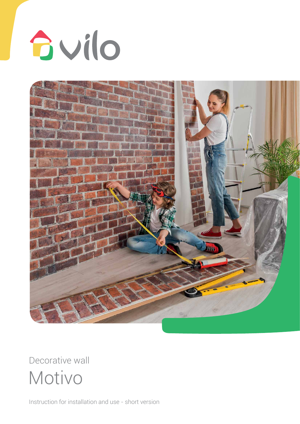



Motivo Decorative wall

Instruction for installation and use - short version